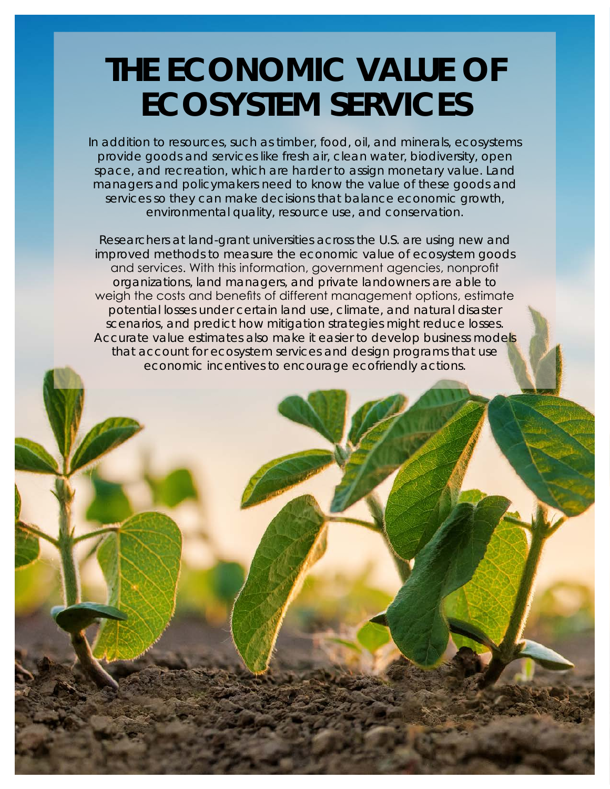## **THE ECONOMIC VALUE OF ECOSYSTEM SERVICES**

In addition to resources, such as timber, food, oil, and minerals, ecosystems provide goods and services like fresh air, clean water, biodiversity, open space, and recreation, which are harder to assign monetary value. Land managers and policymakers need to know the value of these goods and services so they can make decisions that balance economic growth, environmental quality, resource use, and conservation.

Researchers at land-grant universities across the U.S. are using new and improved methods to measure the economic value of ecosystem goods and services. With this information, government agencies, nonprofit organizations, land managers, and private landowners are able to weigh the costs and benefits of different management options, estimate potential losses under certain land use, climate, and natural disaster scenarios, and predict how mitigation strategies might reduce losses. Accurate value estimates also make it easier to develop business models that account for ecosystem services and design programs that use economic incentives to encourage ecofriendly actions.